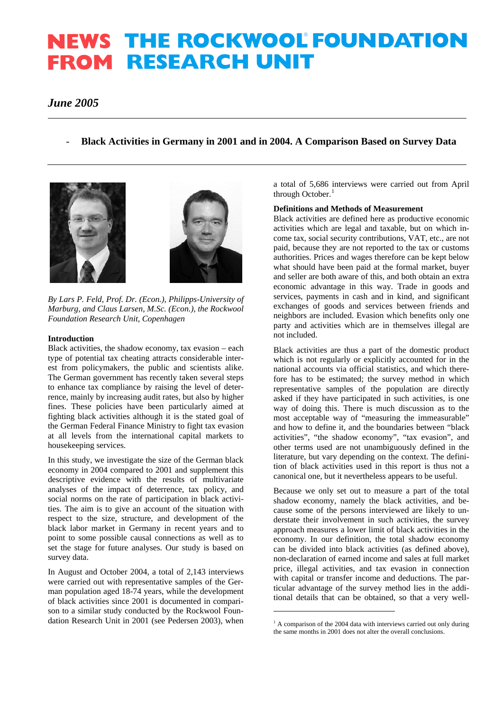# **NEWS THE ROCKWOOL FOUNDATION FROM RESEARCH UNIT**

# *June 2005*

# - **Black Activities in Germany in 2001 and in 2004. A Comparison Based on Survey Data**





*By Lars P. Feld, Prof. Dr. (Econ.), Philipps-University of Marburg, and Claus Larsen, M.Sc. (Econ.), the Rockwool Foundation Research Unit, Copenhagen* 

#### **Introduction**

Black activities, the shadow economy, tax evasion – each type of potential tax cheating attracts considerable interest from policymakers, the public and scientists alike. The German government has recently taken several steps to enhance tax compliance by raising the level of deterrence, mainly by increasing audit rates, but also by higher fines. These policies have been particularly aimed at fighting black activities although it is the stated goal of the German Federal Finance Ministry to fight tax evasion at all levels from the international capital markets to housekeeping services.

In this study, we investigate the size of the German black economy in 2004 compared to 2001 and supplement this descriptive evidence with the results of multivariate analyses of the impact of deterrence, tax policy, and social norms on the rate of participation in black activities. The aim is to give an account of the situation with respect to the size, structure, and development of the black labor market in Germany in recent years and to point to some possible causal connections as well as to set the stage for future analyses. Our study is based on survey data.

<span id="page-0-0"></span>In August and October 2004, a total of 2,143 interviews were carried out with representative samples of the German population aged 18-74 years, while the development of black activities since 2001 is documented in comparison to a similar study conducted by the Rockwool Foundation Research Unit in 2001 (see Pedersen 2003), when

a total of 5,686 interviews were carried out from April through October.<sup>[1](#page-0-0)</sup>

# **Definitions and Methods of Measurement**

Black activities are defined here as productive economic activities which are legal and taxable, but on which income tax, social security contributions, VAT, etc., are not paid, because they are not reported to the tax or customs authorities. Prices and wages therefore can be kept below what should have been paid at the formal market, buyer and seller are both aware of this, and both obtain an extra economic advantage in this way. Trade in goods and services, payments in cash and in kind, and significant exchanges of goods and services between friends and neighbors are included. Evasion which benefits only one party and activities which are in themselves illegal are not included.

Black activities are thus a part of the domestic product which is not regularly or explicitly accounted for in the national accounts via official statistics, and which therefore has to be estimated; the survey method in which representative samples of the population are directly asked if they have participated in such activities, is one way of doing this. There is much discussion as to the most acceptable way of "measuring the immeasurable" and how to define it, and the boundaries between "black activities", "the shadow economy", "tax evasion", and other terms used are not unambiguously defined in the literature, but vary depending on the context. The definition of black activities used in this report is thus not a canonical one, but it nevertheless appears to be useful.

Because we only set out to measure a part of the total shadow economy, namely the black activities, and because some of the persons interviewed are likely to understate their involvement in such activities, the survey approach measures a lower limit of black activities in the economy. In our definition, the total shadow economy can be divided into black activities (as defined above), non-declaration of earned income and sales at full market price, illegal activities, and tax evasion in connection with capital or transfer income and deductions. The particular advantage of the survey method lies in the additional details that can be obtained, so that a very well-

-

<sup>&</sup>lt;sup>1</sup> A comparison of the 2004 data with interviews carried out only during the same months in 2001 does not alter the overall conclusions.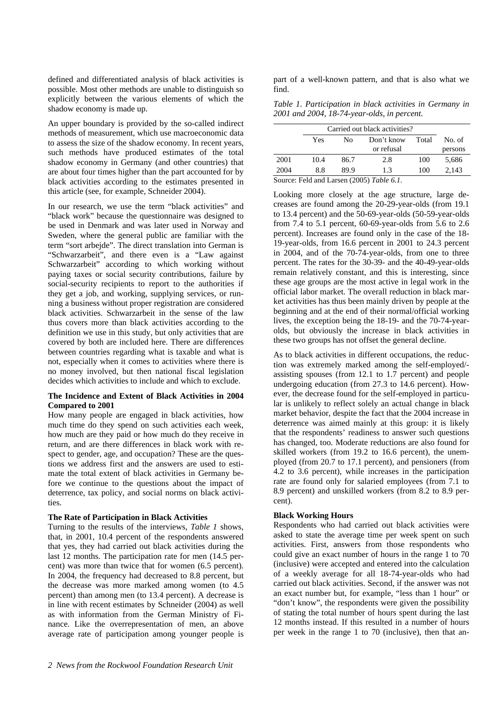defined and differentiated analysis of black activities is possible. Most other methods are unable to distinguish so explicitly between the various elements of which the shadow economy is made up.

An upper boundary is provided by the so-called indirect methods of measurement, which use macroeconomic data to assess the size of the shadow economy. In recent years, such methods have produced estimates of the total shadow economy in Germany (and other countries) that are about four times higher than the part accounted for by black activities according to the estimates presented in this article (see, for example, Schneider 2004).

In our research, we use the term "black activities" and "black work" because the questionnaire was designed to be used in Denmark and was later used in Norway and Sweden, where the general public are familiar with the term "sort arbejde". The direct translation into German is "Schwarzarbeit", and there even is a "Law against Schwarzarbeit" according to which working without paying taxes or social security contributions, failure by social-security recipients to report to the authorities if they get a job, and working, supplying services, or running a business without proper registration are considered black activities. Schwarzarbeit in the sense of the law thus covers more than black activities according to the definition we use in this study, but only activities that are covered by both are included here. There are differences between countries regarding what is taxable and what is not, especially when it comes to activities where there is no money involved, but then national fiscal legislation decides which activities to include and which to exclude.

#### **The Incidence and Extent of Black Activities in 2004 Compared to 2001**

How many people are engaged in black activities, how much time do they spend on such activities each week, how much are they paid or how much do they receive in return, and are there differences in black work with respect to gender, age, and occupation? These are the questions we address first and the answers are used to estimate the total extent of black activities in Germany before we continue to the questions about the impact of deterrence, tax policy, and social norms on black activities.

# **The Rate of Participation in Black Activities**

Turning to the results of the interviews, *Table 1* shows, that, in 2001, 10.4 percent of the respondents answered that yes, they had carried out black activities during the last 12 months. The participation rate for men (14.5 percent) was more than twice that for women (6.5 percent). In 2004, the frequency had decreased to 8.8 percent, but the decrease was more marked among women (to 4.5 percent) than among men (to 13.4 percent). A decrease is in line with recent estimates by Schneider (2004) as well as with information from the German Ministry of Finance. Like the overrepresentation of men, an above average rate of participation among younger people is part of a well-known pattern, and that is also what we find.

*Table 1. Participation in black activities in Germany in 2001 and 2004, 18-74-year-olds, in percent.* 

| Carried out black activities? |      |      |                          |       |                   |
|-------------------------------|------|------|--------------------------|-------|-------------------|
|                               | Yes  | No   | Don't know<br>or refusal | Total | No. of<br>persons |
| 2001                          | 10.4 | 86.7 | 2.8                      | 100   | 5,686             |
| 2004                          | 8.8  | 89.9 | 1.3                      | 100   | 2.143             |

Source: Feld and Larsen (2005) *Table 6.1*.

Looking more closely at the age structure, large decreases are found among the 20-29-year-olds (from 19.1 to 13.4 percent) and the 50-69-year-olds (50-59-year-olds from 7.4 to 5.1 percent, 60-69-year-olds from 5.6 to 2.6 percent). Increases are found only in the case of the 18- 19-year-olds, from 16.6 percent in 2001 to 24.3 percent in 2004, and of the 70-74-year-olds, from one to three percent. The rates for the 30-39- and the 40-49-year-olds remain relatively constant, and this is interesting, since these age groups are the most active in legal work in the official labor market. The overall reduction in black market activities has thus been mainly driven by people at the beginning and at the end of their normal/official working lives, the exception being the 18-19- and the 70-74-yearolds, but obviously the increase in black activities in these two groups has not offset the general decline.

As to black activities in different occupations, the reduction was extremely marked among the self-employed/ assisting spouses (from 12.1 to 1.7 percent) and people undergoing education (from 27.3 to 14.6 percent). However, the decrease found for the self-employed in particular is unlikely to reflect solely an actual change in black market behavior, despite the fact that the 2004 increase in deterrence was aimed mainly at this group: it is likely that the respondents' readiness to answer such questions has changed, too. Moderate reductions are also found for skilled workers (from 19.2 to 16.6 percent), the unemployed (from 20.7 to 17.1 percent), and pensioners (from 4.2 to 3.6 percent), while increases in the participation rate are found only for salaried employees (from 7.1 to 8.9 percent) and unskilled workers (from 8.2 to 8.9 percent).

# **Black Working Hours**

Respondents who had carried out black activities were asked to state the average time per week spent on such activities. First, answers from those respondents who could give an exact number of hours in the range 1 to 70 (inclusive) were accepted and entered into the calculation of a weekly average for all 18-74-year-olds who had carried out black activities. Second, if the answer was not an exact number but, for example, "less than 1 hour" or "don't know", the respondents were given the possibility of stating the total number of hours spent during the last 12 months instead. If this resulted in a number of hours per week in the range 1 to 70 (inclusive), then that an-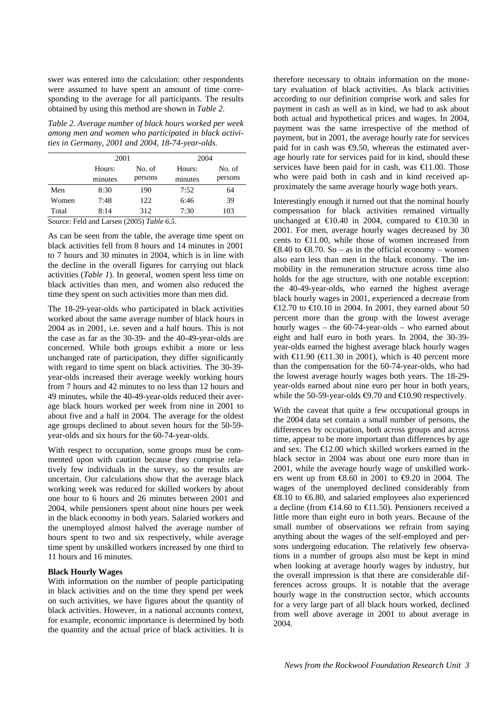swer was entered into the calculation: other respondents were assumed to have spent an amount of time corresponding to the average for all participants. The results obtained by using this method are shown in *Table 2*.

*Table 2. Average number of black hours worked per week among men and women who participated in black activities in Germany, 2001 and 2004, 18-74-year-olds.* 

|       | 2001    |         |         | 2004    |  |  |
|-------|---------|---------|---------|---------|--|--|
|       | Hours:  | No. of  | Hours:  | No. of  |  |  |
|       | minutes | persons | minutes | persons |  |  |
| Men   | 8:30    | 190     | 7:52    | 64      |  |  |
| Women | 7:48    | 122     | 6:46    | 39      |  |  |
| Total | 8:14    | 312     | 7:30    | 103     |  |  |

Source: Feld and Larsen (2005) *Table 6.5*.

As can be seen from the table, the average time spent on black activities fell from 8 hours and 14 minutes in 2001 to 7 hours and 30 minutes in 2004, which is in line with the decline in the overall figures for carrying out black activities (*Table 1*). In general, women spent less time on black activities than men, and women also reduced the time they spent on such activities more than men did.

The 18-29-year-olds who participated in black activities worked about the same average number of black hours in 2004 as in 2001, i.e. seven and a half hours. This is not the case as far as the 30-39- and the 40-49-year-olds are concerned. While both groups exhibit a more or less unchanged rate of participation, they differ significantly with regard to time spent on black activities. The 30-39year-olds increased their average weekly working hours from 7 hours and 42 minutes to no less than 12 hours and 49 minutes, while the 40-49-year-olds reduced their average black hours worked per week from nine in 2001 to about five and a half in 2004. The average for the oldest age groups declined to about seven hours for the 50-59 year-olds and six hours for the 60-74-year-olds.

With respect to occupation, some groups must be commented upon with caution because they comprise relatively few individuals in the survey, so the results are uncertain. Our calculations show that the average black working week was reduced for skilled workers by about one hour to 6 hours and 26 minutes between 2001 and 2004, while pensioners spent about nine hours per week in the black economy in both years. Salaried workers and the unemployed almost halved the average number of hours spent to two and six respectively, while average time spent by unskilled workers increased by one third to 11 hours and 16 minutes.

# **Black Hourly Wages**

With information on the number of people participating in black activities and on the time they spend per week on such activities, we have figures about the quantity of black activities. However, in a national accounts context, for example, economic importance is determined by both the quantity and the actual price of black activities. It is therefore necessary to obtain information on the monetary evaluation of black activities. As black activities according to our definition comprise work and sales for payment in cash as well as in kind, we had to ask about both actual and hypothetical prices and wages. In 2004, payment was the same irrespective of the method of payment, but in 2001, the average hourly rate for services paid for in cash was  $\Theta$ .50, whereas the estimated average hourly rate for services paid for in kind, should these services have been paid for in cash, was  $\in$ 1.00. Those who were paid both in cash and in kind received approximately the same average hourly wage both years.

Interestingly enough it turned out that the nominal hourly compensation for black activities remained virtually unchanged at  $\text{\textsterling}10.40$  in 2004, compared to  $\text{\textsterling}10.30$  in 2001. For men, average hourly wages decreased by 30 cents to  $E1.00$ , while those of women increased from  $\text{\textsterling}8.40$  to  $\text{\textsterling}8.70$ . So – as in the official economy – women also earn less than men in the black economy. The immobility in the remuneration structure across time also holds for the age structure, with one notable exception: the 40-49-year-olds, who earned the highest average black hourly wages in 2001, experienced a decrease from €12.70 to €10.10 in 2004. In 2001, they earned about 50 percent more than the group with the lowest average hourly wages – the 60-74-year-olds – who earned about eight and half euro in both years. In 2004, the 30-39 year-olds earned the highest average black hourly wages with  $\text{ } \infty 1.90$  ( $\infty 1.30$  in 2001), which is 40 percent more than the compensation for the 60-74-year-olds, who had the lowest average hourly wages both years. The 18-29 year-olds earned about nine euro per hour in both years, while the 50-59-year-olds  $\bigoplus$ .70 and  $\bigoplus$  0.90 respectively.

With the caveat that quite a few occupational groups in the 2004 data set contain a small number of persons, the differences by occupation, both across groups and across time, appear to be more important than differences by age and sex. The €12.00 which skilled workers earned in the black sector in 2004 was about one euro more than in 2001, while the average hourly wage of unskilled workers went up from  $\text{\textsterling}8.60$  in 2001 to  $\text{\textsterling}9.20$  in 2004. The wages of the unemployed declined considerably from €8.10 to €6.80, and salaried employees also experienced a decline (from  $\in$ 14.60 to  $\in$ 1.50). Pensioners received a little more than eight euro in both years. Because of the small number of observations we refrain from saying anything about the wages of the self-employed and persons undergoing education. The relatively few observations in a number of groups also must be kept in mind when looking at average hourly wages by industry, but the overall impression is that there are considerable differences across groups. It is notable that the average hourly wage in the construction sector, which accounts for a very large part of all black hours worked, declined from well above average in 2001 to about average in 2004.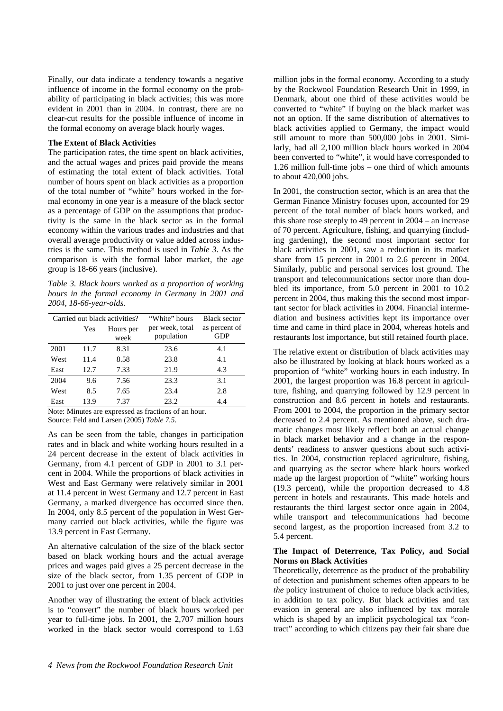Finally, our data indicate a tendency towards a negative influence of income in the formal economy on the probability of participating in black activities; this was more evident in 2001 than in 2004. In contrast, there are no clear-cut results for the possible influence of income in the formal economy on average black hourly wages.

#### **The Extent of Black Activities**

The participation rates, the time spent on black activities, and the actual wages and prices paid provide the means of estimating the total extent of black activities. Total number of hours spent on black activities as a proportion of the total number of "white" hours worked in the formal economy in one year is a measure of the black sector as a percentage of GDP on the assumptions that productivity is the same in the black sector as in the formal economy within the various trades and industries and that overall average productivity or value added across industries is the same. This method is used in *Table 3*. As the comparison is with the formal labor market, the age group is 18-66 years (inclusive).

*Table 3. Black hours worked as a proportion of working hours in the formal economy in Germany in 2001 and 2004, 18-66-year-olds.* 

| Carried out black activities? |      |                   | "White" hours                 | <b>Black sector</b>  |
|-------------------------------|------|-------------------|-------------------------------|----------------------|
|                               | Yes  | Hours per<br>week | per week, total<br>population | as percent of<br>GDP |
| 2001                          | 11.7 | 8.31              | 23.6                          | 4.1                  |
| West                          | 11.4 | 8.58              | 23.8                          | 4.1                  |
| East                          | 12.7 | 7.33              | 21.9                          | 4.3                  |
| 2004                          | 9.6  | 7.56              | 23.3                          | 3.1                  |
| West                          | 8.5  | 7.65              | 23.4                          | 2.8                  |
| East                          | 13.9 | 7.37              | 23.2                          | 4.4                  |

Note: Minutes are expressed as fractions of an hour. Source: Feld and Larsen (2005) *Table 7.5*.

As can be seen from the table, changes in participation rates and in black and white working hours resulted in a 24 percent decrease in the extent of black activities in Germany, from 4.1 percent of GDP in 2001 to 3.1 percent in 2004. While the proportions of black activities in West and East Germany were relatively similar in 2001 at 11.4 percent in West Germany and 12.7 percent in East Germany, a marked divergence has occurred since then. In 2004, only 8.5 percent of the population in West Germany carried out black activities, while the figure was 13.9 percent in East Germany.

An alternative calculation of the size of the black sector based on black working hours and the actual average prices and wages paid gives a 25 percent decrease in the size of the black sector, from 1.35 percent of GDP in 2001 to just over one percent in 2004.

Another way of illustrating the extent of black activities is to "convert" the number of black hours worked per year to full-time jobs. In 2001, the 2,707 million hours worked in the black sector would correspond to 1.63 million jobs in the formal economy. According to a study by the Rockwool Foundation Research Unit in 1999, in Denmark, about one third of these activities would be converted to "white" if buying on the black market was not an option. If the same distribution of alternatives to black activities applied to Germany, the impact would still amount to more than 500,000 jobs in 2001. Similarly, had all 2,100 million black hours worked in 2004 been converted to "white", it would have corresponded to 1.26 million full-time jobs – one third of which amounts to about 420,000 jobs.

In 2001, the construction sector, which is an area that the German Finance Ministry focuses upon, accounted for 29 percent of the total number of black hours worked, and this share rose steeply to 49 percent in 2004 – an increase of 70 percent. Agriculture, fishing, and quarrying (including gardening), the second most important sector for black activities in 2001, saw a reduction in its market share from 15 percent in 2001 to 2.6 percent in 2004. Similarly, public and personal services lost ground. The transport and telecommunications sector more than doubled its importance, from 5.0 percent in 2001 to 10.2 percent in 2004, thus making this the second most important sector for black activities in 2004. Financial intermediation and business activities kept its importance over time and came in third place in 2004, whereas hotels and restaurants lost importance, but still retained fourth place.

The relative extent or distribution of black activities may also be illustrated by looking at black hours worked as a proportion of "white" working hours in each industry. In 2001, the largest proportion was 16.8 percent in agriculture, fishing, and quarrying followed by 12.9 percent in construction and 8.6 percent in hotels and restaurants. From 2001 to 2004, the proportion in the primary sector decreased to 2.4 percent. As mentioned above, such dramatic changes most likely reflect both an actual change in black market behavior and a change in the respondents' readiness to answer questions about such activities. In 2004, construction replaced agriculture, fishing, and quarrying as the sector where black hours worked made up the largest proportion of "white" working hours (19.3 percent), while the proportion decreased to 4.8 percent in hotels and restaurants. This made hotels and restaurants the third largest sector once again in 2004, while transport and telecommunications had become second largest, as the proportion increased from 3.2 to 5.4 percent.

#### **The Impact of Deterrence, Tax Policy, and Social Norms on Black Activities**

Theoretically, deterrence as the product of the probability of detection and punishment schemes often appears to be *the* policy instrument of choice to reduce black activities. in addition to tax policy. But black activities and tax evasion in general are also influenced by tax morale which is shaped by an implicit psychological tax "contract" according to which citizens pay their fair share due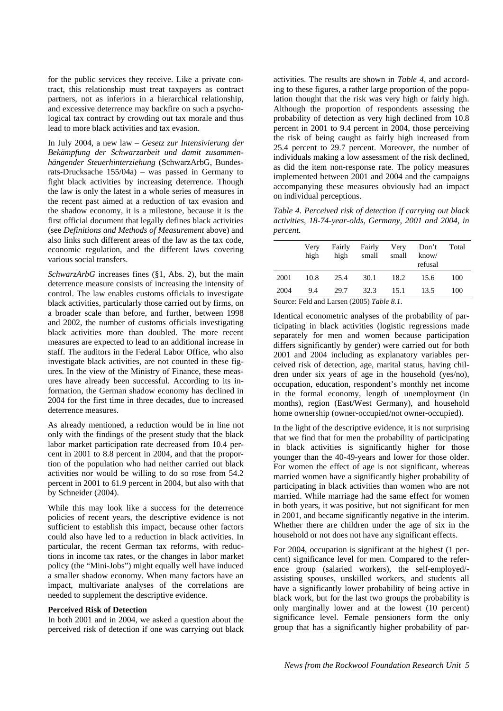for the public services they receive. Like a private contract, this relationship must treat taxpayers as contract partners, not as inferiors in a hierarchical relationship, and excessive deterrence may backfire on such a psychological tax contract by crowding out tax morale and thus lead to more black activities and tax evasion.

In July 2004, a new law – *Gesetz zur Intensivierung der Bekämpfung der Schwarzarbeit und damit zusammenhängender Steuerhinterziehung* (SchwarzArbG, Bundesrats-Drucksache 155/04a) – was passed in Germany to fight black activities by increasing deterrence. Though the law is only the latest in a whole series of measures in the recent past aimed at a reduction of tax evasion and the shadow economy, it is a milestone, because it is the first official document that legally defines black activities (see *Definitions and Methods of Measurement* above) and also links such different areas of the law as the tax code, economic regulation, and the different laws covering various social transfers.

*SchwarzArbG* increases fines (§1, Abs. 2), but the main deterrence measure consists of increasing the intensity of control. The law enables customs officials to investigate black activities, particularly those carried out by firms, on a broader scale than before, and further, between 1998 and 2002, the number of customs officials investigating black activities more than doubled. The more recent measures are expected to lead to an additional increase in staff. The auditors in the Federal Labor Office, who also investigate black activities, are not counted in these figures. In the view of the Ministry of Finance, these measures have already been successful. According to its information, the German shadow economy has declined in 2004 for the first time in three decades, due to increased deterrence measures.

As already mentioned, a reduction would be in line not only with the findings of the present study that the black labor market participation rate decreased from 10.4 percent in 2001 to 8.8 percent in 2004, and that the proportion of the population who had neither carried out black activities nor would be willing to do so rose from 54.2 percent in 2001 to 61.9 percent in 2004, but also with that by Schneider (2004).

While this may look like a success for the deterrence policies of recent years, the descriptive evidence is not sufficient to establish this impact, because other factors could also have led to a reduction in black activities. In particular, the recent German tax reforms, with reductions in income tax rates, or the changes in labor market policy (the "Mini-Jobs") might equally well have induced a smaller shadow economy. When many factors have an impact, multivariate analyses of the correlations are needed to supplement the descriptive evidence.

#### **Perceived Risk of Detection**

In both 2001 and in 2004, we asked a question about the perceived risk of detection if one was carrying out black activities. The results are shown in *Table 4*, and according to these figures, a rather large proportion of the population thought that the risk was very high or fairly high. Although the proportion of respondents assessing the probability of detection as very high declined from 10.8 percent in 2001 to 9.4 percent in 2004, those perceiving the risk of being caught as fairly high increased from 25.4 percent to 29.7 percent. Moreover, the number of individuals making a low assessment of the risk declined, as did the item non-response rate. The policy measures implemented between 2001 and 2004 and the campaigns accompanying these measures obviously had an impact on individual perceptions.

*Table 4. Perceived risk of detection if carrying out black activities, 18-74-year-olds, Germany, 2001 and 2004, in percent.* 

|        | Very<br>high | Fairly<br>high                  | Fairly<br>small | Very<br>small | Don't<br>know/<br>refusal | Total |
|--------|--------------|---------------------------------|-----------------|---------------|---------------------------|-------|
| 2001   | 10.8         | 25.4                            | 30.1            | 18.2          | 15.6                      | 100   |
| 2004   | 9.4          | 29.7                            | 32.3            | 15.1          | 13.5                      | 100   |
| $\sim$ |              | $1.7$ $(0.007)$ $T$ $1.1$ $0.7$ |                 |               |                           |       |

Source: Feld and Larsen (2005) *Table 8.1*.

Identical econometric analyses of the probability of participating in black activities (logistic regressions made separately for men and women because participation differs significantly by gender) were carried out for both 2001 and 2004 including as explanatory variables perceived risk of detection, age, marital status, having children under six years of age in the household (yes/no), occupation, education, respondent's monthly net income in the formal economy, length of unemployment (in months), region (East/West Germany), and household home ownership (owner-occupied/not owner-occupied).

In the light of the descriptive evidence, it is not surprising that we find that for men the probability of participating in black activities is significantly higher for those younger than the 40-49-years and lower for those older. For women the effect of age is not significant, whereas married women have a significantly higher probability of participating in black activities than women who are not married. While marriage had the same effect for women in both years, it was positive, but not significant for men in 2001, and became significantly negative in the interim. Whether there are children under the age of six in the household or not does not have any significant effects.

For 2004, occupation is significant at the highest (1 percent) significance level for men. Compared to the reference group (salaried workers), the self-employed/ assisting spouses, unskilled workers, and students all have a significantly lower probability of being active in black work, but for the last two groups the probability is only marginally lower and at the lowest (10 percent) significance level. Female pensioners form the only group that has a significantly higher probability of par-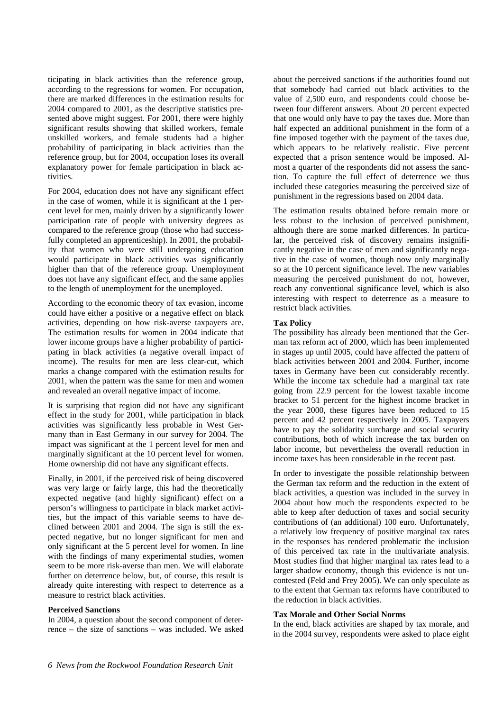ticipating in black activities than the reference group, according to the regressions for women. For occupation, there are marked differences in the estimation results for 2004 compared to 2001, as the descriptive statistics presented above might suggest. For 2001, there were highly significant results showing that skilled workers, female unskilled workers, and female students had a higher probability of participating in black activities than the reference group, but for 2004, occupation loses its overall explanatory power for female participation in black activities.

For 2004, education does not have any significant effect in the case of women, while it is significant at the 1 percent level for men, mainly driven by a significantly lower participation rate of people with university degrees as compared to the reference group (those who had successfully completed an apprenticeship). In 2001, the probability that women who were still undergoing education would participate in black activities was significantly higher than that of the reference group. Unemployment does not have any significant effect, and the same applies to the length of unemployment for the unemployed.

According to the economic theory of tax evasion, income could have either a positive or a negative effect on black activities, depending on how risk-averse taxpayers are. The estimation results for women in 2004 indicate that lower income groups have a higher probability of participating in black activities (a negative overall impact of income). The results for men are less clear-cut, which marks a change compared with the estimation results for 2001, when the pattern was the same for men and women and revealed an overall negative impact of income.

It is surprising that region did not have any significant effect in the study for 2001, while participation in black activities was significantly less probable in West Germany than in East Germany in our survey for 2004. The impact was significant at the 1 percent level for men and marginally significant at the 10 percent level for women. Home ownership did not have any significant effects.

Finally, in 2001, if the perceived risk of being discovered was very large or fairly large, this had the theoretically expected negative (and highly significant) effect on a person's willingness to participate in black market activities, but the impact of this variable seems to have declined between 2001 and 2004. The sign is still the expected negative, but no longer significant for men and only significant at the 5 percent level for women. In line with the findings of many experimental studies, women seem to be more risk-averse than men. We will elaborate further on deterrence below, but, of course, this result is already quite interesting with respect to deterrence as a measure to restrict black activities.

#### **Perceived Sanctions**

In 2004, a question about the second component of deterrence – the size of sanctions – was included. We asked about the perceived sanctions if the authorities found out that somebody had carried out black activities to the value of 2,500 euro, and respondents could choose between four different answers. About 20 percent expected that one would only have to pay the taxes due. More than half expected an additional punishment in the form of a fine imposed together with the payment of the taxes due, which appears to be relatively realistic. Five percent expected that a prison sentence would be imposed. Almost a quarter of the respondents did not assess the sanction. To capture the full effect of deterrence we thus included these categories measuring the perceived size of punishment in the regressions based on 2004 data.

The estimation results obtained before remain more or less robust to the inclusion of perceived punishment, although there are some marked differences. In particular, the perceived risk of discovery remains insignificantly negative in the case of men and significantly negative in the case of women, though now only marginally so at the 10 percent significance level. The new variables measuring the perceived punishment do not, however, reach any conventional significance level, which is also interesting with respect to deterrence as a measure to restrict black activities.

#### **Tax Policy**

The possibility has already been mentioned that the German tax reform act of 2000, which has been implemented in stages up until 2005, could have affected the pattern of black activities between 2001 and 2004. Further, income taxes in Germany have been cut considerably recently. While the income tax schedule had a marginal tax rate going from 22.9 percent for the lowest taxable income bracket to 51 percent for the highest income bracket in the year 2000, these figures have been reduced to 15 percent and 42 percent respectively in 2005. Taxpayers have to pay the solidarity surcharge and social security contributions, both of which increase the tax burden on labor income, but nevertheless the overall reduction in income taxes has been considerable in the recent past.

In order to investigate the possible relationship between the German tax reform and the reduction in the extent of black activities, a question was included in the survey in 2004 about how much the respondents expected to be able to keep after deduction of taxes and social security contributions of (an additional) 100 euro. Unfortunately, a relatively low frequency of positive marginal tax rates in the responses has rendered problematic the inclusion of this perceived tax rate in the multivariate analysis. Most studies find that higher marginal tax rates lead to a larger shadow economy, though this evidence is not uncontested (Feld and Frey 2005). We can only speculate as to the extent that German tax reforms have contributed to the reduction in black activities.

# **Tax Morale and Other Social Norms**

In the end, black activities are shaped by tax morale, and in the 2004 survey, respondents were asked to place eight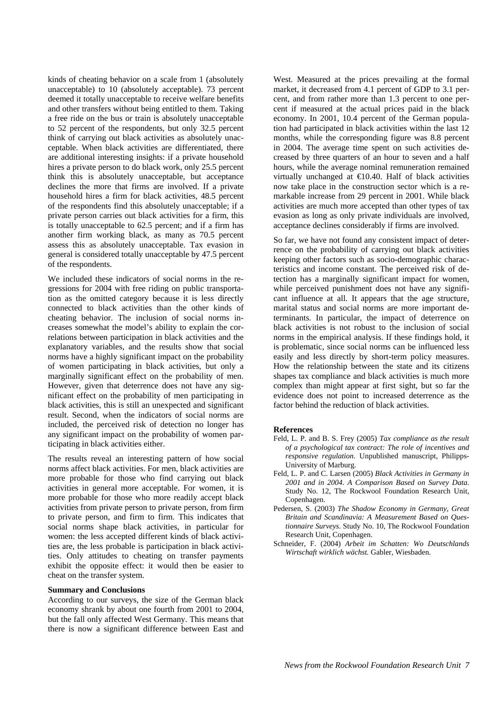kinds of cheating behavior on a scale from 1 (absolutely unacceptable) to 10 (absolutely acceptable). 73 percent deemed it totally unacceptable to receive welfare benefits and other transfers without being entitled to them. Taking a free ride on the bus or train is absolutely unacceptable to 52 percent of the respondents, but only 32.5 percent think of carrying out black activities as absolutely unacceptable. When black activities are differentiated, there are additional interesting insights: if a private household hires a private person to do black work, only 25.5 percent think this is absolutely unacceptable, but acceptance declines the more that firms are involved. If a private household hires a firm for black activities, 48.5 percent of the respondents find this absolutely unacceptable; if a private person carries out black activities for a firm, this is totally unacceptable to 62.5 percent; and if a firm has another firm working black, as many as 70.5 percent assess this as absolutely unacceptable. Tax evasion in general is considered totally unacceptable by 47.5 percent of the respondents.

We included these indicators of social norms in the regressions for 2004 with free riding on public transportation as the omitted category because it is less directly connected to black activities than the other kinds of cheating behavior. The inclusion of social norms increases somewhat the model's ability to explain the correlations between participation in black activities and the explanatory variables, and the results show that social norms have a highly significant impact on the probability of women participating in black activities, but only a marginally significant effect on the probability of men. However, given that deterrence does not have any significant effect on the probability of men participating in black activities, this is still an unexpected and significant result. Second, when the indicators of social norms are included, the perceived risk of detection no longer has any significant impact on the probability of women participating in black activities either.

The results reveal an interesting pattern of how social norms affect black activities. For men, black activities are more probable for those who find carrying out black activities in general more acceptable. For women, it is more probable for those who more readily accept black activities from private person to private person, from firm to private person, and firm to firm. This indicates that social norms shape black activities, in particular for women: the less accepted different kinds of black activities are, the less probable is participation in black activities. Only attitudes to cheating on transfer payments exhibit the opposite effect: it would then be easier to cheat on the transfer system.

#### **Summary and Conclusions**

According to our surveys, the size of the German black economy shrank by about one fourth from 2001 to 2004, but the fall only affected West Germany. This means that there is now a significant difference between East and West. Measured at the prices prevailing at the formal market, it decreased from 4.1 percent of GDP to 3.1 percent, and from rather more than 1.3 percent to one percent if measured at the actual prices paid in the black economy. In 2001, 10.4 percent of the German population had participated in black activities within the last 12 months, while the corresponding figure was 8.8 percent in 2004. The average time spent on such activities decreased by three quarters of an hour to seven and a half hours, while the average nominal remuneration remained virtually unchanged at  $\in$ 10.40. Half of black activities now take place in the construction sector which is a remarkable increase from 29 percent in 2001. While black activities are much more accepted than other types of tax evasion as long as only private individuals are involved, acceptance declines considerably if firms are involved.

So far, we have not found any consistent impact of deterrence on the probability of carrying out black activities keeping other factors such as socio-demographic characteristics and income constant. The perceived risk of detection has a marginally significant impact for women, while perceived punishment does not have any significant influence at all. It appears that the age structure, marital status and social norms are more important determinants. In particular, the impact of deterrence on black activities is not robust to the inclusion of social norms in the empirical analysis. If these findings hold, it is problematic, since social norms can be influenced less easily and less directly by short-term policy measures. How the relationship between the state and its citizens shapes tax compliance and black activities is much more complex than might appear at first sight, but so far the evidence does not point to increased deterrence as the factor behind the reduction of black activities.

#### **References**

- Feld, L. P. and B. S. Frey (2005) *Tax compliance as the result of a psychological tax contract: The role of incentives and responsive regulation*. Unpublished manuscript, Philipps-University of Marburg.
- Feld, L. P. and C. Larsen (2005) *Black Activities in Germany in 2001 and in 2004. A Comparison Based on Survey Data*. Study No. 12, The Rockwool Foundation Research Unit, Copenhagen.
- Pedersen, S. (2003) *The Shadow Economy in Germany, Great Britain and Scandinavia: A Measurement Based on Questionnaire Surveys*. Study No. 10, The Rockwool Foundation Research Unit, Copenhagen.
- Schneider, F. (2004) *Arbeit im Schatten: Wo Deutschlands Wirtschaft wirklich wächst.* Gabler, Wiesbaden.